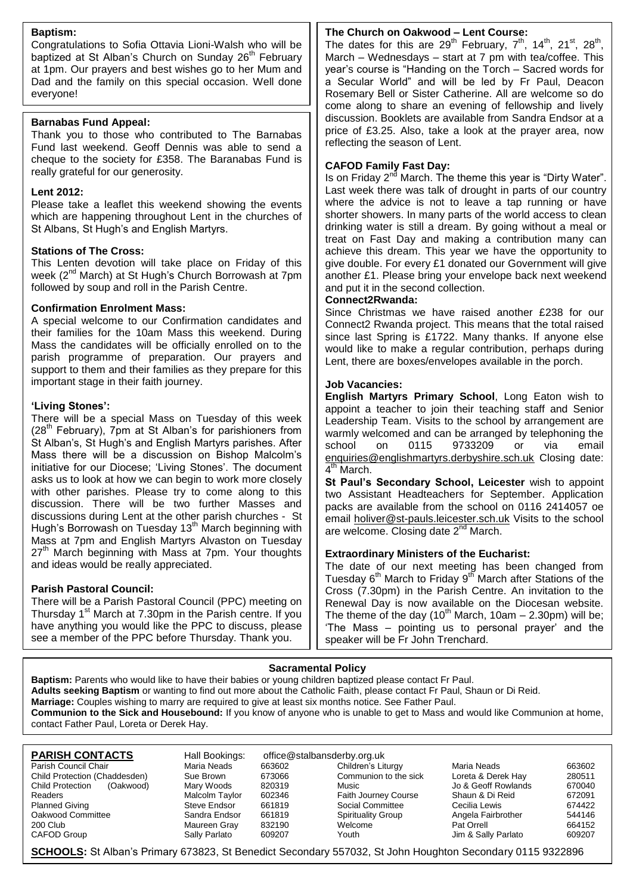#### **Baptism:**

Congratulations to Sofia Ottavia Lioni-Walsh who will be baptized at St Alban's Church on Sunday 26<sup>th</sup> February at 1pm. Our prayers and best wishes go to her Mum and Dad and the family on this special occasion. Well done everyone!

#### **Barnabas Fund Appeal:**

Thank you to those who contributed to The Barnabas Fund last weekend. Geoff Dennis was able to send a cheque to the society for £358. The Baranabas Fund is really grateful for our generosity.

#### **Lent 2012:**

Please take a leaflet this weekend showing the events which are happening throughout Lent in the churches of St Albans, St Hugh"s and English Martyrs.

#### **Stations of The Cross:**

This Lenten devotion will take place on Friday of this week (2<sup>nd</sup> March) at St Hugh's Church Borrowash at 7pm followed by soup and roll in the Parish Centre.

#### **Confirmation Enrolment Mass:**

A special welcome to our Confirmation candidates and their families for the 10am Mass this weekend. During Mass the candidates will be officially enrolled on to the parish programme of preparation. Our prayers and support to them and their families as they prepare for this important stage in their faith journey.

#### **'Living Stones':**

There will be a special Mass on Tuesday of this week  $(28<sup>th</sup>$  February), 7pm at St Alban's for parishioners from St Alban's, St Hugh's and English Martyrs parishes. After Mass there will be a discussion on Bishop Malcolm"s initiative for our Diocese; 'Living Stones'. The document asks us to look at how we can begin to work more closely with other parishes. Please try to come along to this discussion. There will be two further Masses and discussions during Lent at the other parish churches - St Hugh's Borrowash on Tuesday 13<sup>th</sup> March beginning with Mass at 7pm and English Martyrs Alvaston on Tuesday 27<sup>th</sup> March beginning with Mass at 7pm. Your thoughts and ideas would be really appreciated.

#### **Parish Pastoral Council:**

There will be a Parish Pastoral Council (PPC) meeting on Thursday  $1<sup>st</sup>$  March at 7.30pm in the Parish centre. If you have anything you would like the PPC to discuss, please see a member of the PPC before Thursday. Thank you.

#### **The Church on Oakwood – Lent Course:**

The dates for this are 29<sup>th</sup> February,  $7<sup>th</sup>$ ,  $14<sup>th</sup>$ ,  $21<sup>st</sup>$ ,  $28<sup>th</sup>$ , March – Wednesdays – start at 7 pm with tea/coffee. This year"s course is "Handing on the Torch – Sacred words for a Secular World" and will be led by Fr Paul, Deacon Rosemary Bell or Sister Catherine. All are welcome so do come along to share an evening of fellowship and lively discussion. Booklets are available from Sandra Endsor at a price of £3.25. Also, take a look at the prayer area, now reflecting the season of Lent.

#### **CAFOD Family Fast Day:**

Is on Friday  $2^{n\bar{d}}$  March. The theme this year is "Dirty Water". Last week there was talk of drought in parts of our country where the advice is not to leave a tap running or have shorter showers. In many parts of the world access to clean drinking water is still a dream. By going without a meal or treat on Fast Day and making a contribution many can achieve this dream. This year we have the opportunity to give double. For every £1 donated our Government will give another £1. Please bring your envelope back next weekend and put it in the second collection.

#### **Connect2Rwanda:**

Since Christmas we have raised another £238 for our Connect2 Rwanda project. This means that the total raised since last Spring is £1722. Many thanks. If anyone else would like to make a regular contribution, perhaps during Lent, there are boxes/envelopes available in the porch.

#### **Job Vacancies:**

**English Martyrs Primary School**, Long Eaton wish to appoint a teacher to join their teaching staff and Senior Leadership Team. Visits to the school by arrangement are warmly welcomed and can be arranged by telephoning the school on 0115 9733209 or via email [enquiries@englishmartyrs.derbyshire.sch.uk](mailto:enquiries@englishmartyrs.derbyshire.sch.uk) Closing date: 4<sup>th</sup> March.

**St Paul's Secondary School, Leicester** wish to appoint two Assistant Headteachers for September. Application packs are available from the school on 0116 2414057 oe email [holiver@st-pauls.leicester.sch.uk](mailto:holiver@st-pauls.leicester.sch.uk) Visits to the school are welcome. Closing date  $2^{nd}$  March.

#### **Extraordinary Ministers of the Eucharist:**

The date of our next meeting has been changed from Tuesday  $6<sup>th</sup>$  March to Friday  $9<sup>th</sup>$  March after Stations of the Cross (7.30pm) in the Parish Centre. An invitation to the Renewal Day is now available on the Diocesan website. The theme of the day (10<sup>th</sup> March, 10am – 2.30pm) will be; 'The Mass – pointing us to personal prayer' and the speaker will be Fr John Trenchard.

#### **Sacramental Policy**

**Baptism:** Parents who would like to have their babies or young children baptized please contact Fr Paul. **Adults seeking Baptism** or wanting to find out more about the Catholic Faith, please contact Fr Paul, Shaun or Di Reid. **Marriage:** Couples wishing to marry are required to give at least six months notice. See Father Paul. **Communion to the Sick and Housebound:** If you know of anyone who is unable to get to Mass and would like Communion at home, contact Father Paul, Loreta or Derek Hay.

**PARISH CONTACTS** Hall Bookings: office@stalbansderby.org.uk Parish Council Chair **Maria Neads** 663602 Children's Liturgy Maria Neads 663602<br>Child Protection (Chaddesden) Sue Brown 673066 Communion to the sick Loreta & Derek Hay 280511 Child Protection (Chaddesden) Sue Brown 673066 Communion to the sick Child Protection (Oakwood) Mary Woods 820319 Music Music Jo & Geoff Rowlands 670040<br>Readers Malcolm Taylor 602346 Faith Journey Course Shaun & Di Reid 672091 Readers Malcolm Taylor 602346 Faith Journey Course Shaun & Di Reid 672091 Social Committee Oakwood Committee **Sandra Endsor** 661819 Spirituality Group Angela Fairbrother 544146 200 Club Maureen Gray 832190 Welcome Pat Orrell 664152 CAFOD Group CAFOD Group Sally Parlato 609207 Youth Jim & Sally Parlato 609207

**SCHOOLS:** St Alban"s Primary 673823, St Benedict Secondary 557032, St John Houghton Secondary 0115 9322896